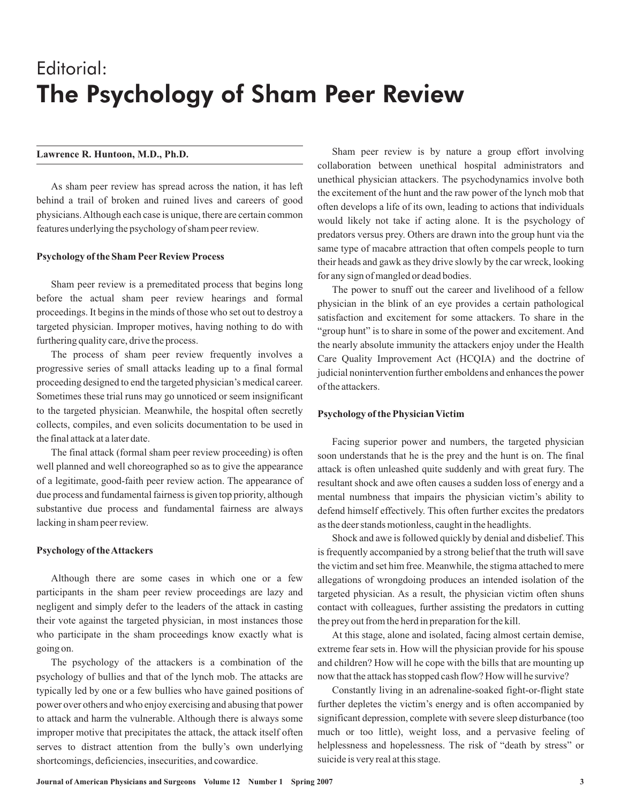# Editorial: The Psychology of Sham Peer Review

### **Lawrence R. Huntoon, M.D., Ph.D.**

As sham peer review has spread across the nation, it has left behind a trail of broken and ruined lives and careers of good physicians.Although each case is unique, there are certain common features underlying the psychology of sham peer review.

#### **Psychology of the Sham Peer Review Process**

Sham peer review is a premeditated process that begins long before the actual sham peer review hearings and formal proceedings. It begins in the minds of those who set out to destroy a targeted physician. Improper motives, having nothing to do with furthering quality care, drive the process.

The process of sham peer review frequently involves a progressive series of small attacks leading up to a final formal proceeding designed to end the targeted physician's medical career. Sometimes these trial runs may go unnoticed or seem insignificant to the targeted physician. Meanwhile, the hospital often secretly collects, compiles, and even solicits documentation to be used in the final attack at a later date.

The final attack (formal sham peer review proceeding) is often well planned and well choreographed so as to give the appearance of a legitimate, good-faith peer review action. The appearance of due process and fundamental fairness is given top priority, although substantive due process and fundamental fairness are always lacking in sham peer review.

#### **Psychology of theAttackers**

Although there are some cases in which one or a few participants in the sham peer review proceedings are lazy and negligent and simply defer to the leaders of the attack in casting their vote against the targeted physician, in most instances those who participate in the sham proceedings know exactly what is going on.

The psychology of the attackers is a combination of the psychology of bullies and that of the lynch mob. The attacks are typically led by one or a few bullies who have gained positions of power over others and who enjoy exercising and abusing that power to attack and harm the vulnerable. Although there is always some improper motive that precipitates the attack, the attack itself often serves to distract attention from the bully's own underlying shortcomings, deficiencies, insecurities, and cowardice.

Sham peer review is by nature a group effort involving collaboration between unethical hospital administrators and unethical physician attackers. The psychodynamics involve both the excitement of the hunt and the raw power of the lynch mob that often develops a life of its own, leading to actions that individuals would likely not take if acting alone. It is the psychology of predators versus prey. Others are drawn into the group hunt via the same type of macabre attraction that often compels people to turn their heads and gawk as they drive slowly by the car wreck, looking for any sign of mangled or dead bodies.

The power to snuff out the career and livelihood of a fellow physician in the blink of an eye provides a certain pathological satisfaction and excitement for some attackers. To share in the "group hunt" is to share in some of the power and excitement. And the nearly absolute immunity the attackers enjoy under the Health Care Quality Improvement Act (HCQIA) and the doctrine of judicial nonintervention further emboldens and enhances the power of the attackers.

#### **Psychology of the Physician Victim**

Facing superior power and numbers, the targeted physician soon understands that he is the prey and the hunt is on. The final attack is often unleashed quite suddenly and with great fury. The resultant shock and awe often causes a sudden loss of energy and a mental numbness that impairs the physician victim's ability to defend himself effectively. This often further excites the predators as the deer stands motionless, caught in the headlights.

Shock and awe is followed quickly by denial and disbelief. This is frequently accompanied by a strong belief that the truth will save the victim and set him free. Meanwhile, the stigma attached to mere allegations of wrongdoing produces an intended isolation of the targeted physician. As a result, the physician victim often shuns contact with colleagues, further assisting the predators in cutting the prey out from the herd in preparation for the kill.

At this stage, alone and isolated, facing almost certain demise, extreme fear sets in. How will the physician provide for his spouse and children? How will he cope with the bills that are mounting up now that the attack has stopped cash flow? How will he survive?

Constantly living in an adrenaline-soaked fight-or-flight state further depletes the victim's energy and is often accompanied by significant depression, complete with severe sleep disturbance (too much or too little), weight loss, and a pervasive feeling of helplessness and hopelessness. The risk of "death by stress" or suicide is very real at this stage.